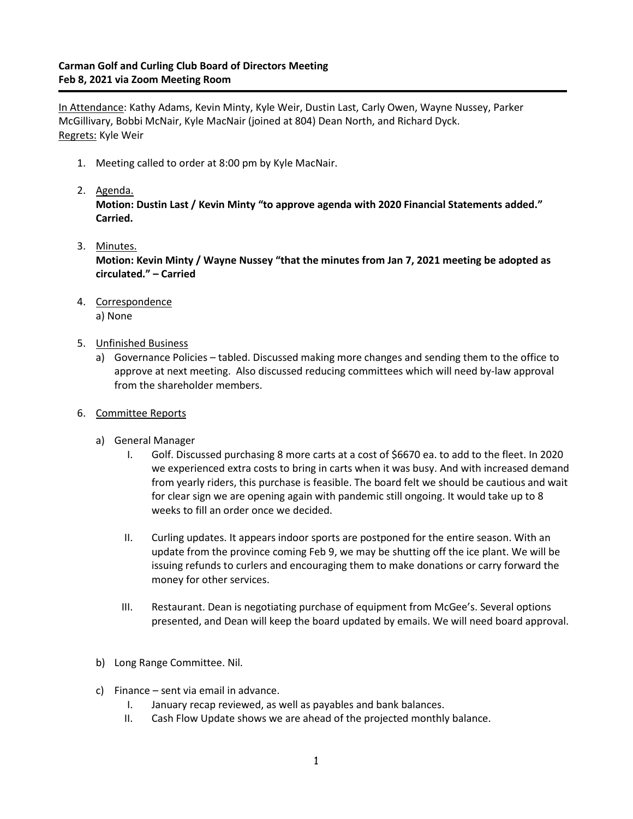## **Carman Golf and Curling Club Board of Directors Meeting Feb 8, 2021 via Zoom Meeting Room**

In Attendance: Kathy Adams, Kevin Minty, Kyle Weir, Dustin Last, Carly Owen, Wayne Nussey, Parker McGillivary, Bobbi McNair, Kyle MacNair (joined at 804) Dean North, and Richard Dyck. Regrets: Kyle Weir

- 1. Meeting called to order at 8:00 pm by Kyle MacNair.
- 2. Agenda.

**Motion: Dustin Last / Kevin Minty "to approve agenda with 2020 Financial Statements added." Carried.**

3. Minutes.

**Motion: Kevin Minty / Wayne Nussey "that the minutes from Jan 7, 2021 meeting be adopted as circulated." – Carried**

4. Correspondence

a) None

- 5. Unfinished Business
	- a) Governance Policies tabled. Discussed making more changes and sending them to the office to approve at next meeting. Also discussed reducing committees which will need by-law approval from the shareholder members.
- 6. Committee Reports
	- a) General Manager
		- I. Golf. Discussed purchasing 8 more carts at a cost of \$6670 ea. to add to the fleet. In 2020 we experienced extra costs to bring in carts when it was busy. And with increased demand from yearly riders, this purchase is feasible. The board felt we should be cautious and wait for clear sign we are opening again with pandemic still ongoing. It would take up to 8 weeks to fill an order once we decided.
		- II. Curling updates. It appears indoor sports are postponed for the entire season. With an update from the province coming Feb 9, we may be shutting off the ice plant. We will be issuing refunds to curlers and encouraging them to make donations or carry forward the money for other services.
		- III. Restaurant. Dean is negotiating purchase of equipment from McGee's. Several options presented, and Dean will keep the board updated by emails. We will need board approval.
	- b) Long Range Committee. Nil.
	- c) Finance sent via email in advance.
		- I. January recap reviewed, as well as payables and bank balances.
		- II. Cash Flow Update shows we are ahead of the projected monthly balance.